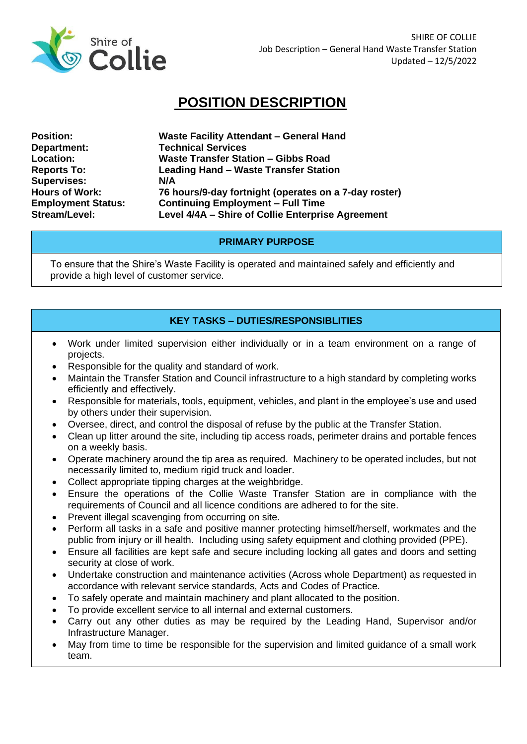

## **POSITION DESCRIPTION**

**Department: Technical Services Supervises: N/A**

**Position: Waste Facility Attendant – General Hand Location: Waste Transfer Station – Gibbs Road Reports To: Leading Hand – Waste Transfer Station Hours of Work: 76 hours/9-day fortnight (operates on a 7-day roster) Employment Status: Continuing Employment – Full Time Stream/Level: Level 4/4A – Shire of Collie Enterprise Agreement**

## **PRIMARY PURPOSE**

To ensure that the Shire's Waste Facility is operated and maintained safely and efficiently and provide a high level of customer service.

## **KEY TASKS – DUTIES/RESPONSIBLITIES**

- Work under limited supervision either individually or in a team environment on a range of projects.
- Responsible for the quality and standard of work.
- Maintain the Transfer Station and Council infrastructure to a high standard by completing works efficiently and effectively.
- Responsible for materials, tools, equipment, vehicles, and plant in the employee's use and used by others under their supervision.
- Oversee, direct, and control the disposal of refuse by the public at the Transfer Station.
- Clean up litter around the site, including tip access roads, perimeter drains and portable fences on a weekly basis.
- Operate machinery around the tip area as required. Machinery to be operated includes, but not necessarily limited to, medium rigid truck and loader.
- Collect appropriate tipping charges at the weighbridge.
- Ensure the operations of the Collie Waste Transfer Station are in compliance with the requirements of Council and all licence conditions are adhered to for the site.
- Prevent illegal scavenging from occurring on site.
- Perform all tasks in a safe and positive manner protecting himself/herself, workmates and the public from injury or ill health. Including using safety equipment and clothing provided (PPE).
- Ensure all facilities are kept safe and secure including locking all gates and doors and setting security at close of work.
- Undertake construction and maintenance activities (Across whole Department) as requested in accordance with relevant service standards, Acts and Codes of Practice.
- To safely operate and maintain machinery and plant allocated to the position.
- To provide excellent service to all internal and external customers.
- Carry out any other duties as may be required by the Leading Hand, Supervisor and/or Infrastructure Manager.
- May from time to time be responsible for the supervision and limited guidance of a small work team.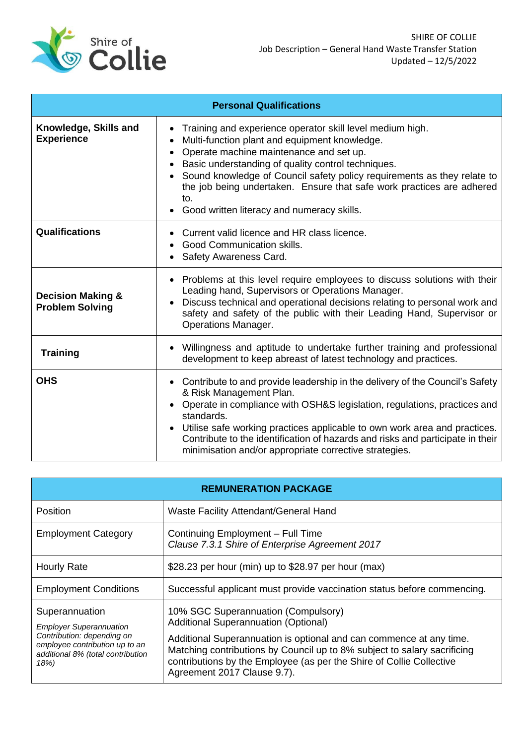

| <b>Personal Qualifications</b>                         |                                                                                                                                                                                                                                                                                                                                                                                                                                         |  |
|--------------------------------------------------------|-----------------------------------------------------------------------------------------------------------------------------------------------------------------------------------------------------------------------------------------------------------------------------------------------------------------------------------------------------------------------------------------------------------------------------------------|--|
| Knowledge, Skills and<br><b>Experience</b>             | Training and experience operator skill level medium high.<br>Multi-function plant and equipment knowledge.<br>Operate machine maintenance and set up.<br>Basic understanding of quality control techniques.<br>Sound knowledge of Council safety policy requirements as they relate to<br>the job being undertaken. Ensure that safe work practices are adhered<br>to.<br>Good written literacy and numeracy skills.                    |  |
| Qualifications                                         | Current valid licence and HR class licence.<br>Good Communication skills.<br>Safety Awareness Card.                                                                                                                                                                                                                                                                                                                                     |  |
| <b>Decision Making &amp;</b><br><b>Problem Solving</b> | Problems at this level require employees to discuss solutions with their<br>Leading hand, Supervisors or Operations Manager.<br>Discuss technical and operational decisions relating to personal work and<br>safety and safety of the public with their Leading Hand, Supervisor or<br><b>Operations Manager.</b>                                                                                                                       |  |
| <b>Training</b>                                        | Willingness and aptitude to undertake further training and professional<br>development to keep abreast of latest technology and practices.                                                                                                                                                                                                                                                                                              |  |
| <b>OHS</b>                                             | Contribute to and provide leadership in the delivery of the Council's Safety<br>& Risk Management Plan.<br>Operate in compliance with OSH&S legislation, regulations, practices and<br>standards.<br>Utilise safe working practices applicable to own work area and practices.<br>$\bullet$<br>Contribute to the identification of hazards and risks and participate in their<br>minimisation and/or appropriate corrective strategies. |  |

| <b>REMUNERATION PACKAGE</b>                                                                                                                                   |                                                                                                                                                                                                                                                                                                                                              |  |
|---------------------------------------------------------------------------------------------------------------------------------------------------------------|----------------------------------------------------------------------------------------------------------------------------------------------------------------------------------------------------------------------------------------------------------------------------------------------------------------------------------------------|--|
| Position                                                                                                                                                      | Waste Facility Attendant/General Hand                                                                                                                                                                                                                                                                                                        |  |
| <b>Employment Category</b>                                                                                                                                    | Continuing Employment - Full Time<br>Clause 7.3.1 Shire of Enterprise Agreement 2017                                                                                                                                                                                                                                                         |  |
| <b>Hourly Rate</b>                                                                                                                                            | \$28.23 per hour (min) up to \$28.97 per hour (max)                                                                                                                                                                                                                                                                                          |  |
| <b>Employment Conditions</b>                                                                                                                                  | Successful applicant must provide vaccination status before commencing.                                                                                                                                                                                                                                                                      |  |
| Superannuation<br><b>Employer Superannuation</b><br>Contribution: depending on<br>employee contribution up to an<br>additional 8% (total contribution<br>18%) | 10% SGC Superannuation (Compulsory)<br><b>Additional Superannuation (Optional)</b><br>Additional Superannuation is optional and can commence at any time.<br>Matching contributions by Council up to 8% subject to salary sacrificing<br>contributions by the Employee (as per the Shire of Collie Collective<br>Agreement 2017 Clause 9.7). |  |